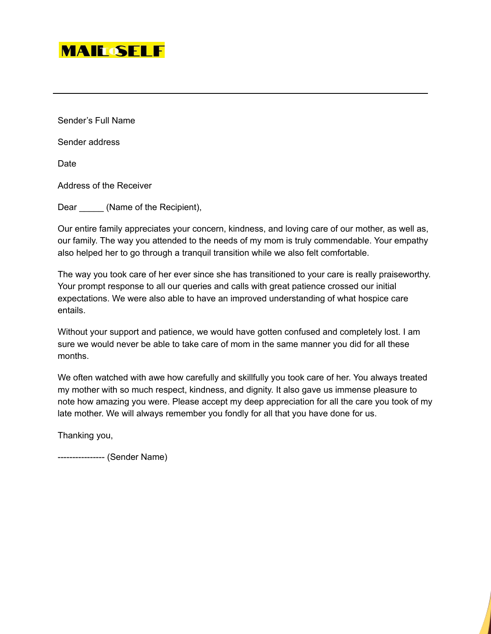

Sender's Full Name

Sender address

Date

Address of the Receiver

Dear (Name of the Recipient),

Our entire family appreciates your concern, kindness, and loving care of our mother, as well as, our family. The way you attended to the needs of my mom is truly commendable. Your empathy also helped her to go through a tranquil transition while we also felt comfortable.

The way you took care of her ever since she has transitioned to your care is really praiseworthy. Your prompt response to all our queries and calls with great patience crossed our initial expectations. We were also able to have an improved understanding of what hospice care entails.

Without your support and patience, we would have gotten confused and completely lost. I am sure we would never be able to take care of mom in the same manner you did for all these months.

We often watched with awe how carefully and skillfully you took care of her. You always treated my mother with so much respect, kindness, and dignity. It also gave us immense pleasure to note how amazing you were. Please accept my deep appreciation for all the care you took of my late mother. We will always remember you fondly for all that you have done for us.

Thanking you,

---------------- (Sender Name)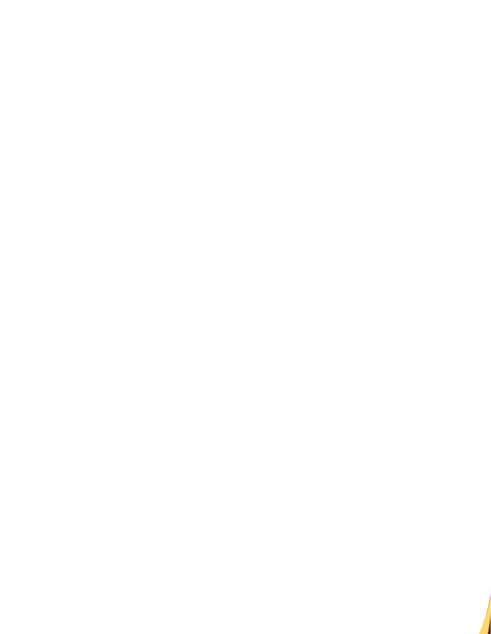